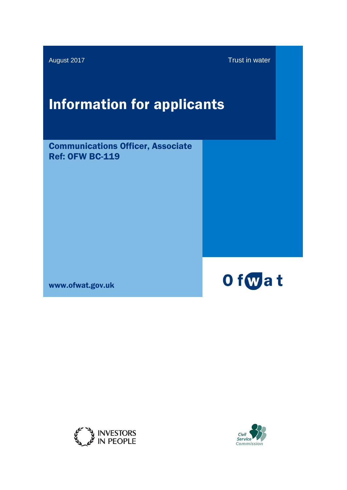August 2017 **Trust in water** 

# Information for applicants

Communications Officer, Associate Ref: OFW BC-119

www.ofwat.gov.uk





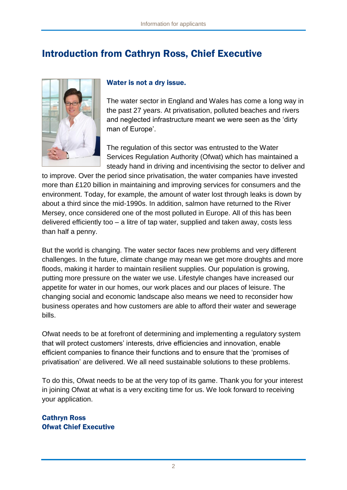# Introduction from Cathryn Ross, Chief Executive



#### Water is not a dry issue.

The water sector in England and Wales has come a long way in the past 27 years. At privatisation, polluted beaches and rivers and neglected infrastructure meant we were seen as the 'dirty man of Europe'.

The regulation of this sector was entrusted to the Water Services Regulation Authority (Ofwat) which has maintained a steady hand in driving and incentivising the sector to deliver and

to improve. Over the period since privatisation, the water companies have invested more than £120 billion in maintaining and improving services for consumers and the environment. Today, for example, the amount of water lost through leaks is down by about a third since the mid-1990s. In addition, salmon have returned to the River Mersey, once considered one of the most polluted in Europe. All of this has been delivered efficiently too – a litre of tap water, supplied and taken away, costs less than half a penny.

But the world is changing. The water sector faces new problems and very different challenges. In the future, climate change may mean we get more droughts and more floods, making it harder to maintain resilient supplies. Our population is growing, putting more pressure on the water we use. Lifestyle changes have increased our appetite for water in our homes, our work places and our places of leisure. The changing social and economic landscape also means we need to reconsider how business operates and how customers are able to afford their water and sewerage bills.

Ofwat needs to be at forefront of determining and implementing a regulatory system that will protect customers' interests, drive efficiencies and innovation, enable efficient companies to finance their functions and to ensure that the 'promises of privatisation' are delivered. We all need sustainable solutions to these problems.

To do this, Ofwat needs to be at the very top of its game. Thank you for your interest in joining Ofwat at what is a very exciting time for us. We look forward to receiving your application.

#### Cathryn Ross Ofwat Chief Executive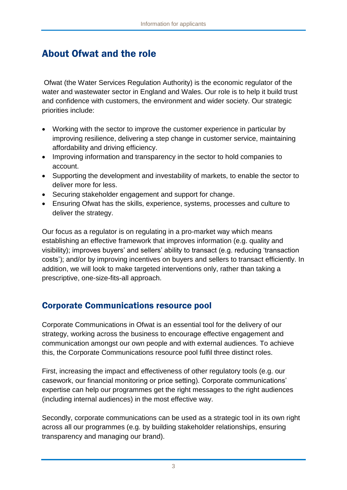# About Ofwat and the role

Ofwat (the Water Services Regulation Authority) is the economic regulator of the water and wastewater sector in England and Wales. Our role is to help it build trust and confidence with customers, the environment and wider society. Our strategic priorities include:

- Working with the sector to improve the customer experience in particular by improving resilience, delivering a step change in customer service, maintaining affordability and driving efficiency.
- Improving information and transparency in the sector to hold companies to account.
- Supporting the development and investability of markets, to enable the sector to deliver more for less.
- Securing stakeholder engagement and support for change.
- Ensuring Ofwat has the skills, experience, systems, processes and culture to deliver the strategy.

Our focus as a regulator is on regulating in a pro-market way which means establishing an effective framework that improves information (e.g. quality and visibility); improves buyers' and sellers' ability to transact (e.g. reducing 'transaction costs'); and/or by improving incentives on buyers and sellers to transact efficiently. In addition, we will look to make targeted interventions only, rather than taking a prescriptive, one-size-fits-all approach.

#### Corporate Communications resource pool

Corporate Communications in Ofwat is an essential tool for the delivery of our strategy, working across the business to encourage effective engagement and communication amongst our own people and with external audiences. To achieve this, the Corporate Communications resource pool fulfil three distinct roles.

First, increasing the impact and effectiveness of other regulatory tools (e.g. our casework, our financial monitoring or price setting). Corporate communications' expertise can help our programmes get the right messages to the right audiences (including internal audiences) in the most effective way.

Secondly, corporate communications can be used as a strategic tool in its own right across all our programmes (e.g. by building stakeholder relationships, ensuring transparency and managing our brand).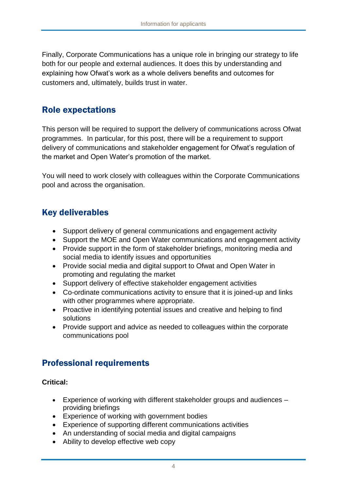Finally, Corporate Communications has a unique role in bringing our strategy to life both for our people and external audiences. It does this by understanding and explaining how Ofwat's work as a whole delivers benefits and outcomes for customers and, ultimately, builds trust in water.

#### Role expectations

This person will be required to support the delivery of communications across Ofwat programmes. In particular, for this post, there will be a requirement to support delivery of communications and stakeholder engagement for Ofwat's regulation of the market and Open Water's promotion of the market.

You will need to work closely with colleagues within the Corporate Communications pool and across the organisation.

#### Key deliverables

- Support delivery of general communications and engagement activity
- Support the MOE and Open Water communications and engagement activity
- Provide support in the form of stakeholder briefings, monitoring media and social media to identify issues and opportunities
- Provide social media and digital support to Ofwat and Open Water in promoting and regulating the market
- Support delivery of effective stakeholder engagement activities
- Co-ordinate communications activity to ensure that it is joined-up and links with other programmes where appropriate.
- Proactive in identifying potential issues and creative and helping to find solutions
- Provide support and advice as needed to colleagues within the corporate communications pool

### Professional requirements

#### **Critical:**

- Experience of working with different stakeholder groups and audiences providing briefings
- Experience of working with government bodies
- Experience of supporting different communications activities
- An understanding of social media and digital campaigns
- Ability to develop effective web copy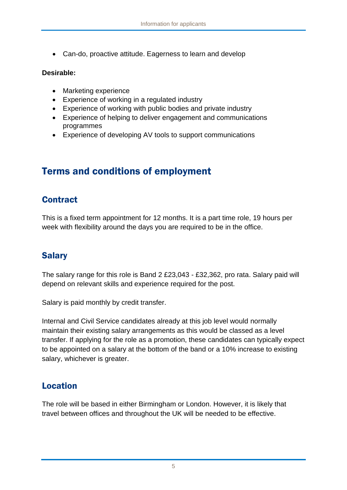Can-do, proactive attitude. Eagerness to learn and develop

#### **Desirable:**

- Marketing experience
- Experience of working in a regulated industry
- Experience of working with public bodies and private industry
- Experience of helping to deliver engagement and communications programmes
- Experience of developing AV tools to support communications

# Terms and conditions of employment

#### **Contract**

This is a fixed term appointment for 12 months. It is a part time role, 19 hours per week with flexibility around the days you are required to be in the office.

### Salary

The salary range for this role is Band 2 £23,043 - £32,362, pro rata. Salary paid will depend on relevant skills and experience required for the post.

Salary is paid monthly by credit transfer.

Internal and Civil Service candidates already at this job level would normally maintain their existing salary arrangements as this would be classed as a level transfer. If applying for the role as a promotion, these candidates can typically expect to be appointed on a salary at the bottom of the band or a 10% increase to existing salary, whichever is greater.

#### Location

The role will be based in either Birmingham or London. However, it is likely that travel between offices and throughout the UK will be needed to be effective.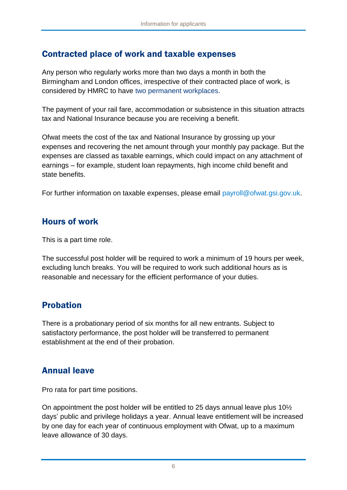#### Contracted place of work and taxable expenses

Any person who regularly works more than two days a month in both the Birmingham and London offices, irrespective of their contracted place of work, is considered by HMRC to have two permanent workplaces.

The payment of your rail fare, accommodation or subsistence in this situation attracts tax and National Insurance because you are receiving a benefit.

Ofwat meets the cost of the tax and National Insurance by grossing up your expenses and recovering the net amount through your monthly pay package. But the expenses are classed as taxable earnings, which could impact on any attachment of earnings – for example, student loan repayments, high income child benefit and state benefits.

For further information on taxable expenses, please email [payroll@ofwat.gsi.gov.uk.](mailto:payroll@ofwat.gsi.gov.uk)

#### Hours of work

This is a part time role.

The successful post holder will be required to work a minimum of 19 hours per week, excluding lunch breaks. You will be required to work such additional hours as is reasonable and necessary for the efficient performance of your duties.

### Probation

There is a probationary period of six months for all new entrants. Subject to satisfactory performance, the post holder will be transferred to permanent establishment at the end of their probation.

#### Annual leave

Pro rata for part time positions.

On appointment the post holder will be entitled to 25 days annual leave plus 10½ days' public and privilege holidays a year. Annual leave entitlement will be increased by one day for each year of continuous employment with Ofwat, up to a maximum leave allowance of 30 days.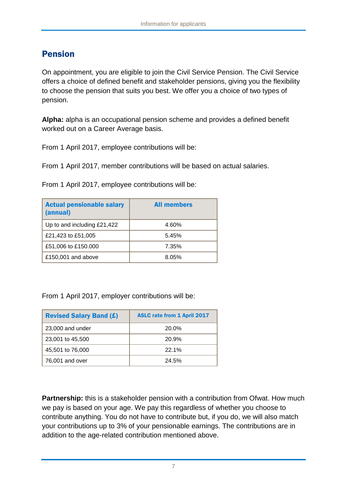### Pension

On appointment, you are eligible to join the Civil Service Pension. The Civil Service offers a choice of defined benefit and stakeholder pensions, giving you the flexibility to choose the pension that suits you best. We offer you a choice of two types of pension.

**Alpha:** alpha is an occupational pension scheme and provides a defined benefit worked out on a Career Average basis.

From 1 April 2017, employee contributions will be:

From 1 April 2017, member contributions will be based on actual salaries.

From 1 April 2017, employee contributions will be:

| <b>Actual pensionable salary</b><br>(annual) | <b>All members</b> |
|----------------------------------------------|--------------------|
| Up to and including £21,422                  | 4.60%              |
| £21,423 to £51,005                           | 5.45%              |
| £51,006 to £150.000                          | 7.35%              |
| £150,001 and above                           | 8.05%              |

From 1 April 2017, employer contributions will be:

| <b>Revised Salary Band (£)</b> | <b>ASLC rate from 1 April 2017</b> |
|--------------------------------|------------------------------------|
| 23,000 and under               | 20.0%                              |
| 23,001 to 45,500               | 20.9%                              |
| 45,501 to 76,000               | 22.1%                              |
| 76,001 and over                | 24.5%                              |

**Partnership:** this is a stakeholder pension with a contribution from Ofwat. How much we pay is based on your age. We pay this regardless of whether you choose to contribute anything. You do not have to contribute but, if you do, we will also match your contributions up to 3% of your pensionable earnings. The contributions are in addition to the age-related contribution mentioned above.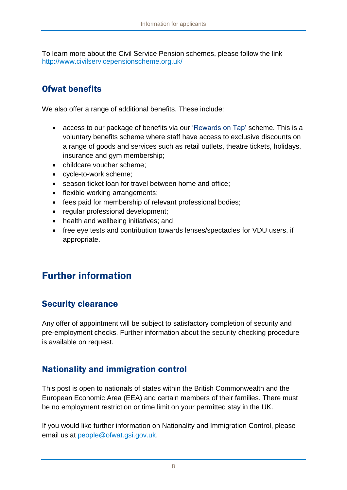To learn more about the Civil Service Pension schemes, please follow the link <http://www.civilservicepensionscheme.org.uk/>

#### Ofwat benefits

We also offer a range of additional benefits. These include:

- access to our package of benefits via our 'Rewards on Tap' scheme. This is a voluntary benefits scheme where staff have access to exclusive discounts on a range of goods and services such as retail outlets, theatre tickets, holidays, insurance and gym membership;
- childcare voucher scheme;
- cycle-to-work scheme;
- season ticket loan for travel between home and office:
- flexible working arrangements;
- fees paid for membership of relevant professional bodies;
- regular professional development;
- health and wellbeing initiatives; and
- free eye tests and contribution towards lenses/spectacles for VDU users, if appropriate.

# Further information

### Security clearance

Any offer of appointment will be subject to satisfactory completion of security and pre-employment checks. Further information about the security checking procedure is available on request.

### Nationality and immigration control

This post is open to nationals of states within the British Commonwealth and the European Economic Area (EEA) and certain members of their families. There must be no employment restriction or time limit on your permitted stay in the UK.

If you would like further information on Nationality and Immigration Control, please email us at [people@ofwat.gsi.gov.uk.](mailto:hr@ofwat.gsi.gov.uk)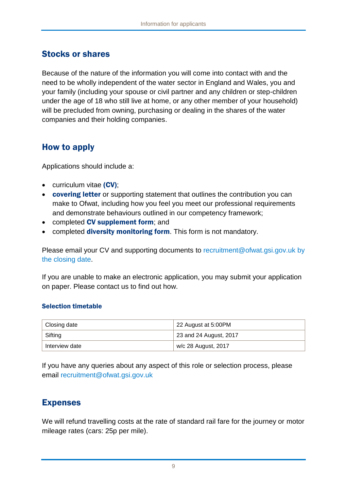#### Stocks or shares

Because of the nature of the information you will come into contact with and the need to be wholly independent of the water sector in England and Wales, you and your family (including your spouse or civil partner and any children or step-children under the age of 18 who still live at home, or any other member of your household) will be precluded from owning, purchasing or dealing in the shares of the water companies and their holding companies.

#### How to apply

Applications should include a:

- curriculum vitae (CV);
- **covering letter** or supporting statement that outlines the contribution you can make to Ofwat, including how you feel you meet our professional requirements and demonstrate behaviours outlined in our competency framework;
- completed CV supplement form; and
- completed **diversity monitoring form**. This form is not mandatory.

Please email your CV and supporting documents to [recruitment@ofwat.gsi.gov.uk](mailto:recruitment@ofwat.gsi.gov.uk) by the closing date.

If you are unable to make an electronic application, you may submit your application on paper. Please contact us to find out how.

#### Selection timetable

| Closing date   | 22 August at 5:00PM    |
|----------------|------------------------|
| Sifting        | 23 and 24 August, 2017 |
| Interview date | w/c 28 August, 2017    |

If you have any queries about any aspect of this role or selection process, please email [recruitment@ofwat.gsi.gov.uk](mailto:recruitment@ofwat.gsi.gov.uk)

#### Expenses

We will refund travelling costs at the rate of standard rail fare for the journey or motor mileage rates (cars: 25p per mile).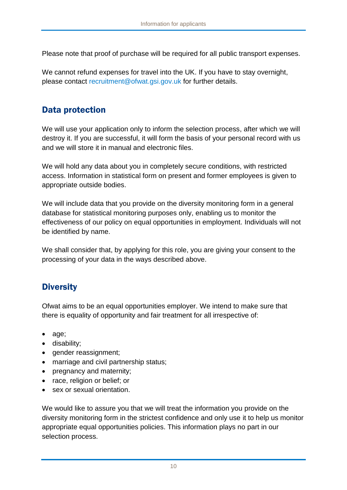Please note that proof of purchase will be required for all public transport expenses.

We cannot refund expenses for travel into the UK. If you have to stay overnight, please contact [recruitment@ofwat.gsi.gov.uk](mailto:recruitment@ofwat.gsi.gov.uk) for further details.

#### Data protection

We will use your application only to inform the selection process, after which we will destroy it. If you are successful, it will form the basis of your personal record with us and we will store it in manual and electronic files.

We will hold any data about you in completely secure conditions, with restricted access. Information in statistical form on present and former employees is given to appropriate outside bodies.

We will include data that you provide on the diversity monitoring form in a general database for statistical monitoring purposes only, enabling us to monitor the effectiveness of our policy on equal opportunities in employment. Individuals will not be identified by name.

We shall consider that, by applying for this role, you are giving your consent to the processing of your data in the ways described above.

### **Diversity**

Ofwat aims to be an equal opportunities employer. We intend to make sure that there is equality of opportunity and fair treatment for all irrespective of:

- age;
- disability;
- gender reassignment;
- marriage and civil partnership status;
- pregnancy and maternity;
- race, religion or belief; or
- sex or sexual orientation.

We would like to assure you that we will treat the information you provide on the diversity monitoring form in the strictest confidence and only use it to help us monitor appropriate equal opportunities policies. This information plays no part in our selection process.